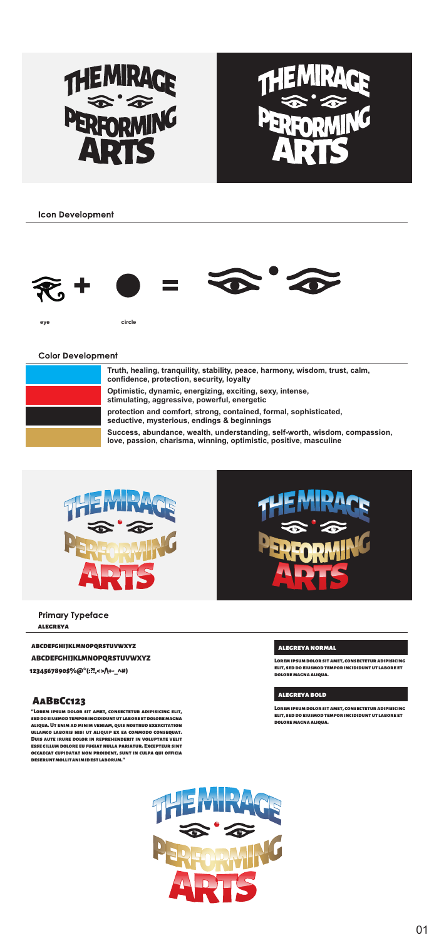



**Icon Development** 











### Color Development

| Truth, healing, tranquility, stability, peace, harmony, wisdom, trust, calm,<br>confidence, protection, security, lovally                       |
|-------------------------------------------------------------------------------------------------------------------------------------------------|
| Optimistic, dynamic, energizing, exciting, sexy, intense,<br>stimulating, aggressive, powerful, energetic                                       |
| protection and comfort, strong, contained, formal, sophisticated.<br>seductive, mysterious, endings & beginnings.                               |
| Success, abundance, wealth, understanding, self-worth, wisdom, compassion,<br>love, cassion, charisma, winning, optimistic, coaltive, masculine |





### Primary Typeface **alegreya**

| ARCOSTONISLMNOPORATUVWXVI         |
|-----------------------------------|
| <b>ABCDEFCHEIKLMNOPORSTUVWXY2</b> |
| 2345478908%@"(ALcoder_nit)        |

## **AaBbCc123**

**ullamco laboris nisi ut aliquip ex ea commodo consequat.** 

#### **alegreyanormal**

### **alegreyabold**